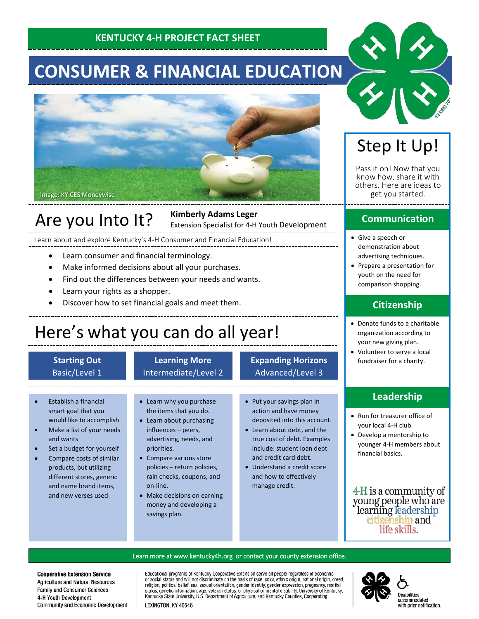### **KENTUCKY 4-H PROJECT FACT SHEET**

# **CONSUMER & FINANCIAL EDUCATION**



## Are you Into It?

**Kimberly Adams Leger** Extension Specialist for 4-H Youth Development

Learn about and explore Kentucky's 4-H Consumer and Financial Education!

- Learn consumer and financial terminology.
- Make informed decisions about all your purchases.
- Find out the differences between your needs and wants.
- Learn your rights as a shopper.
- Discover how to set financial goals and meet them.

## Here's what you can do all year!

#### **Starting Out** Basic/Level 1

#### **Learning More** Intermediate/Level 2

### **Expanding Horizons** Advanced/Level 3

- Establish a financial smart goal that you would like to accomplish
- Make a list of your needs and wants
- Set a budget for yourself
- Compare costs of similar products, but utilizing different stores, generic and name brand items, and new verses used.

#### • Learn why you purchase the items that you do.

- Learn about purchasing influences – peers, advertising, needs, and priorities.
- Compare various store policies – return policies, rain checks, coupons, and on-line.
- Make decisions on earning money and developing a savings plan.
- Put your savings plan in action and have money
- deposited into this account. • Learn about debt, and the true cost of debt. Examples include: student loan debt and credit card debt.
- Understand a credit score and how to effectively manage credit.

## Step It Up!

Pass it on! Now that you know how, share it with others. Here are ideas to get you started.

### **Communication**

- Give a speech or demonstration about advertising techniques.
- Prepare a presentation for youth on the need for comparison shopping.

### **Citizenship**

- Donate funds to a charitable organization according to your new giving plan.
- Volunteer to serve a local fundraiser for a charity.

### **Leadership**

- Run for treasurer office of your local 4-H club.
- Develop a mentorship to younger 4-H members about financial basics.

4-H is a community of young people who are learning leadership<br>citizenship and life skills.

#### Learn more at [www.kentucky4h.org](http://www.kentucky4h.org/) or contact your county extension office.

**Cooperative Extension Service** Agriculture and Natural Resources Family and Consumer Sciences 4-H Youth Development Community and Economic Development Educational programs of Kentucky Cooperative Extension serve all people regardless of economic procedure and will not discriminate on the basis of race, color, ethnic origin, national origin, creed, religion, political belief, sex, sexual orientation, gender identity, gender expression, pregnancy, marital status, ge Kentucky State University, U.S. Department of Agriculture, and Kentucky Counties, Cooperating.